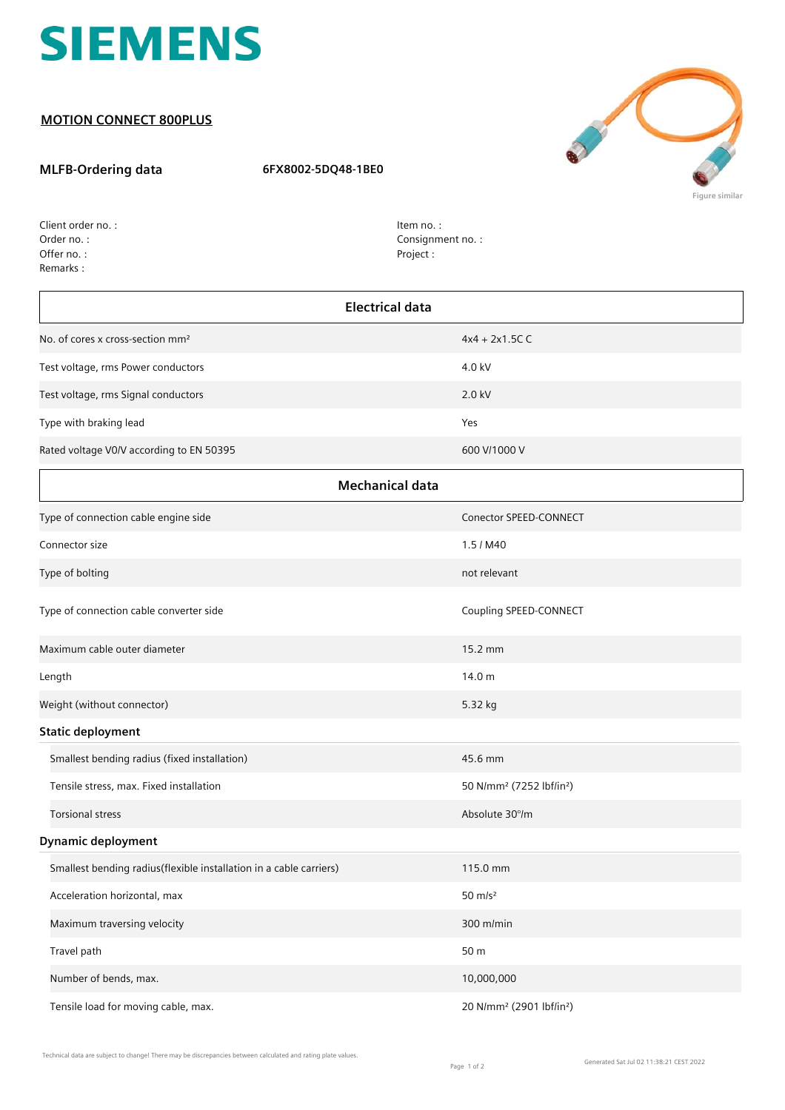

## **MOTION CONNECT 800PLUS**

## **MLFB-Ordering data 6FX8002-5DQ48-1BE0**



| Client order no.: |
|-------------------|
| Order no.:        |
| Offer no.:        |
| Remarks :         |

Item no. : Consignment no. : Project :

| <b>Electrical data</b>                                             |                                                  |  |
|--------------------------------------------------------------------|--------------------------------------------------|--|
| No. of cores x cross-section mm <sup>2</sup>                       | $4x4 + 2x1.5C C$                                 |  |
| Test voltage, rms Power conductors                                 | 4.0 kV                                           |  |
| Test voltage, rms Signal conductors                                | 2.0 kV                                           |  |
| Type with braking lead                                             | Yes                                              |  |
| Rated voltage V0/V according to EN 50395                           | 600 V/1000 V                                     |  |
| <b>Mechanical data</b>                                             |                                                  |  |
| Type of connection cable engine side                               | Conector SPEED-CONNECT                           |  |
| Connector size                                                     | 1.5 / M40                                        |  |
| Type of bolting                                                    | not relevant                                     |  |
| Type of connection cable converter side                            | Coupling SPEED-CONNECT                           |  |
| Maximum cable outer diameter                                       | 15.2 mm                                          |  |
| Length                                                             | 14.0 m                                           |  |
| Weight (without connector)                                         | 5.32 kg                                          |  |
| <b>Static deployment</b>                                           |                                                  |  |
| Smallest bending radius (fixed installation)                       | 45.6 mm                                          |  |
| Tensile stress, max. Fixed installation                            | 50 N/mm <sup>2</sup> (7252 lbf/in <sup>2</sup> ) |  |
| <b>Torsional stress</b>                                            | Absolute 30°/m                                   |  |
| <b>Dynamic deployment</b>                                          |                                                  |  |
| Smallest bending radius(flexible installation in a cable carriers) | 115.0 mm                                         |  |
| Acceleration horizontal, max                                       | $50 \text{ m/s}^2$                               |  |
| Maximum traversing velocity                                        | 300 m/min                                        |  |
| Travel path                                                        | 50 m                                             |  |
| Number of bends, max.                                              | 10,000,000                                       |  |
| Tensile load for moving cable, max.                                | 20 N/mm <sup>2</sup> (2901 lbf/in <sup>2</sup> ) |  |